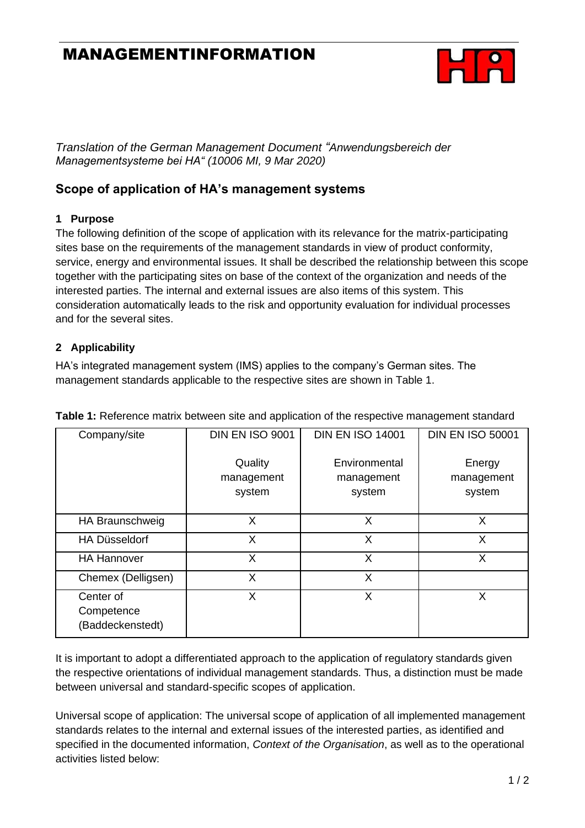# MANAGEMENTINFORMATION



*Translation of the German Management Document "Anwendungsbereich der Managementsysteme bei HA" (10006 MI, 9 Mar 2020)*

### **Scope of application of HA's management systems**

#### **1 Purpose**

The following definition of the scope of application with its relevance for the matrix-participating sites base on the requirements of the management standards in view of product conformity, service, energy and environmental issues. It shall be described the relationship between this scope together with the participating sites on base of the context of the organization and needs of the interested parties. The internal and external issues are also items of this system. This consideration automatically leads to the risk and opportunity evaluation for individual processes and for the several sites.

#### **2 Applicability**

HA's integrated management system (IMS) applies to the company's German sites. The management standards applicable to the respective sites are shown in Table 1.

| Company/site                                | <b>DIN EN ISO 9001</b>          | <b>DIN EN ISO 14001</b>               | <b>DIN EN ISO 50001</b>        |
|---------------------------------------------|---------------------------------|---------------------------------------|--------------------------------|
|                                             | Quality<br>management<br>system | Environmental<br>management<br>system | Energy<br>management<br>system |
| HA Braunschweig                             | X                               | X                                     | X                              |
| HA Düsseldorf                               | X                               | X                                     | X                              |
| <b>HA Hannover</b>                          | X                               | X                                     | X                              |
| Chemex (Delligsen)                          | X                               | X                                     |                                |
| Center of<br>Competence<br>(Baddeckenstedt) | X                               | X                                     | X                              |

**Table 1:** Reference matrix between site and application of the respective management standard

It is important to adopt a differentiated approach to the application of regulatory standards given the respective orientations of individual management standards. Thus, a distinction must be made between universal and standard-specific scopes of application.

Universal scope of application: The universal scope of application of all implemented management standards relates to the internal and external issues of the interested parties, as identified and specified in the documented information, *Context of the Organisation*, as well as to the operational activities listed below: